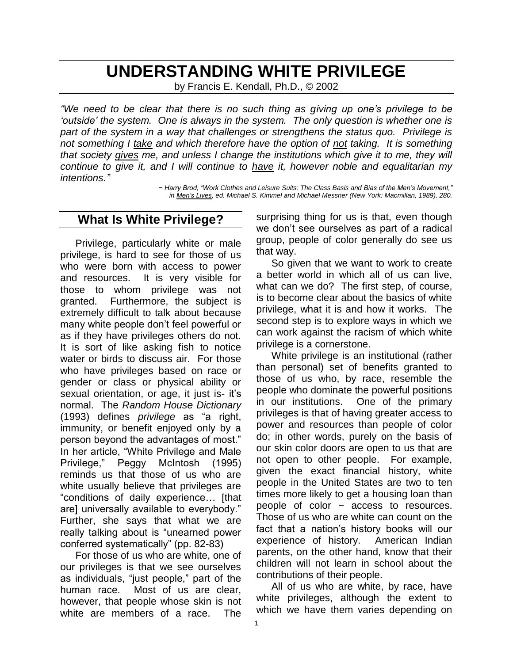# **UNDERSTANDING WHITE PRIVILEGE**

by Francis E. Kendall, Ph.D., © 2002

*"We need to be clear that there is no such thing as giving up one's privilege to be 'outside' the system. One is always in the system. The only question is whether one is part of the system in a way that challenges or strengthens the status quo. Privilege is not something I take and which therefore have the option of not taking. It is something that society gives me, and unless I change the institutions which give it to me, they will continue to give it, and I will continue to have it, however noble and equalitarian my intentions."*

> *− Harry Brod, "Work Clothes and Leisure Suits: The Class Basis and Bias of the Men's Movement," in Men's Lives, ed. Michael S. Kimmel and Michael Messner (New York: Macmillan, 1989), 280.*

#### **What Is White Privilege?**

Privilege, particularly white or male privilege, is hard to see for those of us who were born with access to power and resources. It is very visible for those to whom privilege was not granted. Furthermore, the subject is extremely difficult to talk about because many white people don't feel powerful or as if they have privileges others do not. It is sort of like asking fish to notice water or birds to discuss air. For those who have privileges based on race or gender or class or physical ability or sexual orientation, or age, it just is- it's normal. The *Random House Dictionary* (1993) defines *privilege* as "a right, immunity, or benefit enjoyed only by a person beyond the advantages of most." In her article, "White Privilege and Male Privilege," Peggy McIntosh (1995) reminds us that those of us who are white usually believe that privileges are "conditions of daily experience… [that are] universally available to everybody." Further, she says that what we are really talking about is "unearned power conferred systematically" (pp. 82-83)

For those of us who are white, one of our privileges is that we see ourselves as individuals, "just people," part of the human race. Most of us are clear, however, that people whose skin is not white are members of a race. The

surprising thing for us is that, even though we don't see ourselves as part of a radical group, people of color generally do see us that way.

So given that we want to work to create a better world in which all of us can live, what can we do? The first step, of course, is to become clear about the basics of white privilege, what it is and how it works. The second step is to explore ways in which we can work against the racism of which white privilege is a cornerstone.

White privilege is an institutional (rather than personal) set of benefits granted to those of us who, by race, resemble the people who dominate the powerful positions in our institutions. One of the primary privileges is that of having greater access to power and resources than people of color do; in other words, purely on the basis of our skin color doors are open to us that are not open to other people. For example, given the exact financial history, white people in the United States are two to ten times more likely to get a housing loan than people of color − access to resources. Those of us who are white can count on the fact that a nation's history books will our experience of history. American Indian parents, on the other hand, know that their children will not learn in school about the contributions of their people.

All of us who are white, by race, have white privileges, although the extent to which we have them varies depending on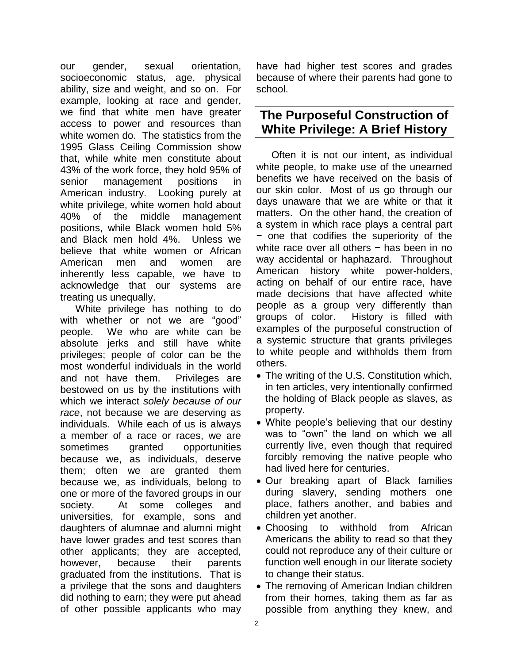our gender, sexual orientation, socioeconomic status, age, physical ability, size and weight, and so on. For example, looking at race and gender, we find that white men have greater access to power and resources than white women do. The statistics from the 1995 Glass Ceiling Commission show that, while white men constitute about 43% of the work force, they hold 95% of senior management positions in American industry. Looking purely at white privilege, white women hold about 40% of the middle management positions, while Black women hold 5% and Black men hold 4%. Unless we believe that white women or African American men and women are inherently less capable, we have to acknowledge that our systems are treating us unequally.

White privilege has nothing to do with whether or not we are "good" people. We who are white can be absolute jerks and still have white privileges; people of color can be the most wonderful individuals in the world and not have them. Privileges are bestowed on us by the institutions with which we interact *solely because of our race*, not because we are deserving as individuals. While each of us is always a member of a race or races, we are sometimes granted opportunities because we, as individuals, deserve them; often we are granted them because we, as individuals, belong to one or more of the favored groups in our society. At some colleges and universities, for example, sons and daughters of alumnae and alumni might have lower grades and test scores than other applicants; they are accepted, however, because their parents graduated from the institutions. That is a privilege that the sons and daughters did nothing to earn; they were put ahead of other possible applicants who may

have had higher test scores and grades because of where their parents had gone to school.

## **The Purposeful Construction of White Privilege: A Brief History**

Often it is not our intent, as individual white people, to make use of the unearned benefits we have received on the basis of our skin color. Most of us go through our days unaware that we are white or that it matters. On the other hand, the creation of a system in which race plays a central part − one that codifies the superiority of the white race over all others − has been in no way accidental or haphazard. Throughout American history white power-holders, acting on behalf of our entire race, have made decisions that have affected white people as a group very differently than groups of color. History is filled with examples of the purposeful construction of a systemic structure that grants privileges to white people and withholds them from others.

- The writing of the U.S. Constitution which, in ten articles, very intentionally confirmed the holding of Black people as slaves, as property.
- White people's believing that our destiny was to "own" the land on which we all currently live, even though that required forcibly removing the native people who had lived here for centuries.
- Our breaking apart of Black families during slavery, sending mothers one place, fathers another, and babies and children yet another.
- Choosing to withhold from African Americans the ability to read so that they could not reproduce any of their culture or function well enough in our literate society to change their status.
- The removing of American Indian children from their homes, taking them as far as possible from anything they knew, and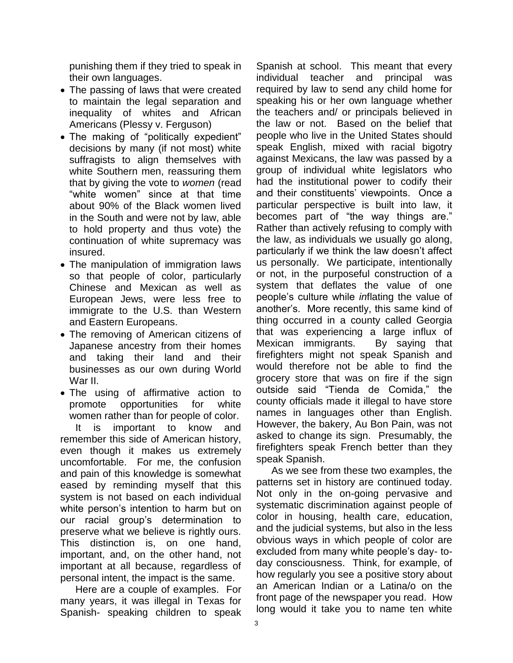punishing them if they tried to speak in their own languages.

- The passing of laws that were created to maintain the legal separation and inequality of whites and African Americans (Plessy v. Ferguson)
- The making of "politically expedient" decisions by many (if not most) white suffragists to align themselves with white Southern men, reassuring them that by giving the vote to *women* (read "white women" since at that time about 90% of the Black women lived in the South and were not by law, able to hold property and thus vote) the continuation of white supremacy was insured.
- The manipulation of immigration laws so that people of color, particularly Chinese and Mexican as well as European Jews, were less free to immigrate to the U.S. than Western and Eastern Europeans.
- The removing of American citizens of Japanese ancestry from their homes and taking their land and their businesses as our own during World War II.
- The using of affirmative action to promote opportunities for white women rather than for people of color.

It is important to know and remember this side of American history, even though it makes us extremely uncomfortable. For me, the confusion and pain of this knowledge is somewhat eased by reminding myself that this system is not based on each individual white person's intention to harm but on our racial group's determination to preserve what we believe is rightly ours. This distinction is, on one hand, important, and, on the other hand, not important at all because, regardless of personal intent, the impact is the same.

Here are a couple of examples. For many years, it was illegal in Texas for Spanish- speaking children to speak Spanish at school. This meant that every individual teacher and principal was required by law to send any child home for speaking his or her own language whether the teachers and/ or principals believed in the law or not. Based on the belief that people who live in the United States should speak English, mixed with racial bigotry against Mexicans, the law was passed by a group of individual white legislators who had the institutional power to codify their and their constituents' viewpoints. Once a particular perspective is built into law, it becomes part of "the way things are." Rather than actively refusing to comply with the law, as individuals we usually go along, particularly if we think the law doesn't affect us personally. We participate, intentionally or not, in the purposeful construction of a system that deflates the value of one people's culture while *in*flating the value of another's. More recently, this same kind of thing occurred in a county called Georgia that was experiencing a large influx of Mexican immigrants. By saying that firefighters might not speak Spanish and would therefore not be able to find the grocery store that was on fire if the sign outside said "Tienda de Comida," the county officials made it illegal to have store names in languages other than English. However, the bakery, Au Bon Pain, was not asked to change its sign. Presumably, the firefighters speak French better than they speak Spanish.

As we see from these two examples, the patterns set in history are continued today. Not only in the on-going pervasive and systematic discrimination against people of color in housing, health care, education, and the judicial systems, but also in the less obvious ways in which people of color are excluded from many white people's day- today consciousness. Think, for example, of how regularly you see a positive story about an American Indian or a Latina/o on the front page of the newspaper you read. How long would it take you to name ten white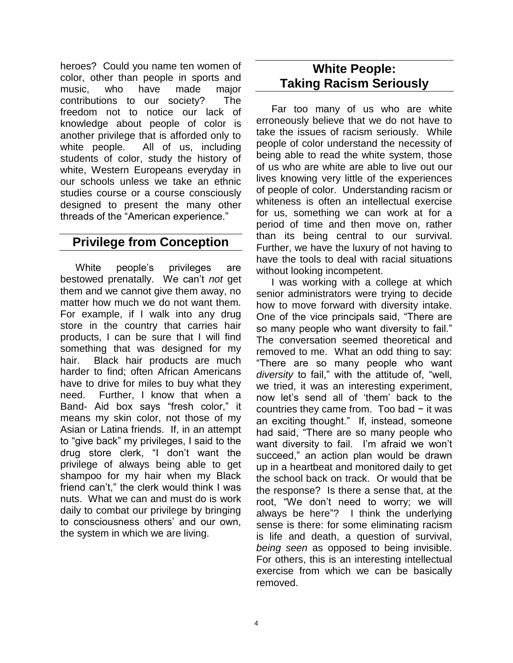heroes? Could you name ten women of color, other than people in sports and music, who have made major contributions to our society? The freedom not to notice our lack of knowledge about people of color is another privilege that is afforded only to white people. All of us, including students of color, study the history of white, Western Europeans everyday in our schools unless we take an ethnic studies course or a course consciously designed to present the many other threads of the "American experience."

# **Privilege from Conception**

White people's privileges are bestowed prenatally. We can't *not* get them and we cannot give them away, no matter how much we do not want them. For example, if I walk into any drug store in the country that carries hair products, I can be sure that I will find something that was designed for my hair. Black hair products are much harder to find; often African Americans have to drive for miles to buy what they need. Further, I know that when a Band- Aid box says "fresh color," it means my skin color, not those of my Asian or Latina friends. If, in an attempt to "give back" my privileges, I said to the drug store clerk, "I don't want the privilege of always being able to get shampoo for my hair when my Black friend can't," the clerk would think I was nuts. What we can and must do is work daily to combat our privilege by bringing to consciousness others' and our own, the system in which we are living.

# **White People: Taking Racism Seriously**

Far too many of us who are white erroneously believe that we do not have to take the issues of racism seriously. While people of color understand the necessity of being able to read the white system, those of us who are white are able to live out our lives knowing very little of the experiences of people of color. Understanding racism or whiteness is often an intellectual exercise for us, something we can work at for a period of time and then move on, rather than its being central to our survival. Further, we have the luxury of not having to have the tools to deal with racial situations without looking incompetent.

I was working with a college at which senior administrators were trying to decide how to move forward with diversity intake. One of the vice principals said, "There are so many people who want diversity to fail." The conversation seemed theoretical and removed to me. What an odd thing to say: "There are so many people who want *diversity* to fail," with the attitude of, "well, we tried, it was an interesting experiment, now let's send all of 'them' back to the countries they came from. Too bad − it was an exciting thought." If, instead, someone had said, "There are so many people who want diversity to fail. I'm afraid we won't succeed," an action plan would be drawn up in a heartbeat and monitored daily to get the school back on track. Or would that be the response? Is there a sense that, at the root, "We don't need to worry; we will always be here"? I think the underlying sense is there: for some eliminating racism is life and death, a question of survival, *being seen* as opposed to being invisible. For others, this is an interesting intellectual exercise from which we can be basically removed.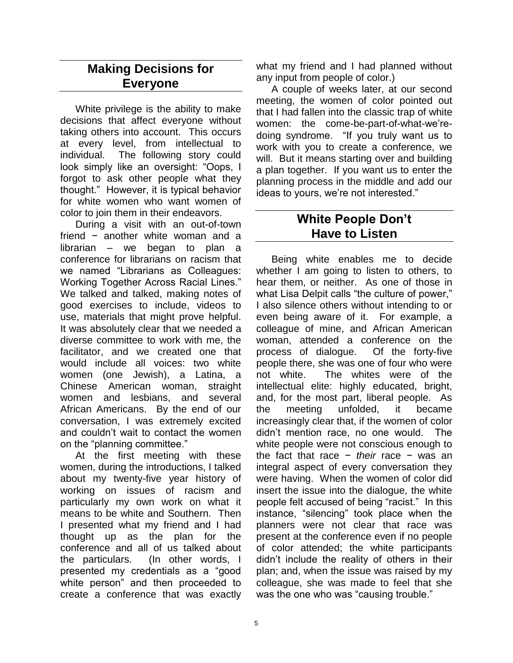# **Making Decisions for Everyone**

White privilege is the ability to make decisions that affect everyone without taking others into account. This occurs at every level, from intellectual to individual. The following story could look simply like an oversight: "Oops, I forgot to ask other people what they thought." However, it is typical behavior for white women who want women of color to join them in their endeavors.

During a visit with an out-of-town friend − another white woman and a librarian – we began to plan a conference for librarians on racism that we named "Librarians as Colleagues: Working Together Across Racial Lines." We talked and talked, making notes of good exercises to include, videos to use, materials that might prove helpful. It was absolutely clear that we needed a diverse committee to work with me, the facilitator, and we created one that would include all voices: two white women (one Jewish), a Latina, a Chinese American woman, straight women and lesbians, and several African Americans. By the end of our conversation, I was extremely excited and couldn't wait to contact the women on the "planning committee."

At the first meeting with these women, during the introductions, I talked about my twenty-five year history of working on issues of racism and particularly my own work on what it means to be white and Southern. Then I presented what my friend and I had thought up as the plan for the conference and all of us talked about the particulars. (In other words, I presented my credentials as a "good white person" and then proceeded to create a conference that was exactly what my friend and I had planned without any input from people of color.)

A couple of weeks later, at our second meeting, the women of color pointed out that I had fallen into the classic trap of white women: the come-be-part-of-what-we'redoing syndrome. "If you truly want us to work with you to create a conference, we will. But it means starting over and building a plan together. If you want us to enter the planning process in the middle and add our ideas to yours, we're not interested."

# **White People Don't Have to Listen**

Being white enables me to decide whether I am going to listen to others, to hear them, or neither. As one of those in what Lisa Delpit calls "the culture of power," I also silence others without intending to or even being aware of it. For example, a colleague of mine, and African American woman, attended a conference on the process of dialogue. Of the forty-five people there, she was one of four who were not white. The whites were of the intellectual elite: highly educated, bright, and, for the most part, liberal people. As the meeting unfolded, it became increasingly clear that, if the women of color didn't mention race, no one would. The white people were not conscious enough to the fact that race − *their* race − was an integral aspect of every conversation they were having. When the women of color did insert the issue into the dialogue, the white people felt accused of being "racist." In this instance, "silencing" took place when the planners were not clear that race was present at the conference even if no people of color attended; the white participants didn't include the reality of others in their plan; and, when the issue was raised by my colleague, she was made to feel that she was the one who was "causing trouble."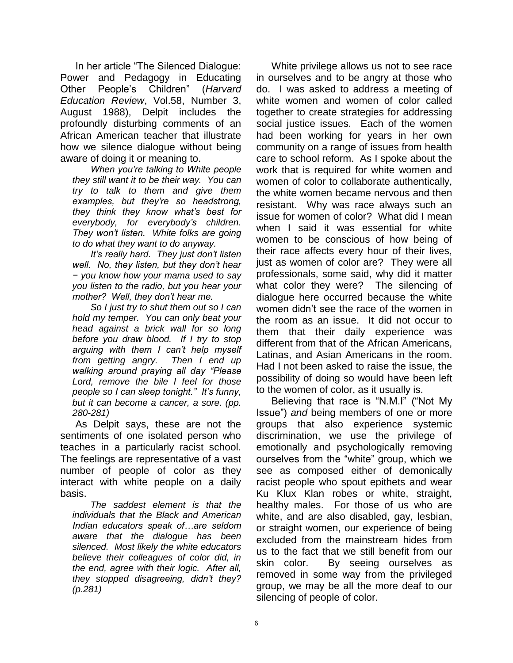In her article "The Silenced Dialogue: Power and Pedagogy in Educating Other People's Children" (*Harvard Education Review*, Vol.58, Number 3, August 1988), Delpit includes the profoundly disturbing comments of an African American teacher that illustrate how we silence dialogue without being aware of doing it or meaning to.

*When you're talking to White people they still want it to be their way. You can try to talk to them and give them examples, but they're so headstrong, they think they know what's best for everybody, for everybody's children. They won't listen. White folks are going to do what they want to do anyway.*

*It's really hard. They just don't listen well. No, they listen, but they don't hear − you know how your mama used to say you listen to the radio, but you hear your mother? Well, they don't hear me.*

*So I just try to shut them out so I can hold my temper. You can only beat your head against a brick wall for so long before you draw blood. If I try to stop arguing with them I can't help myself from getting angry. Then I end up walking around praying all day "Please Lord, remove the bile I feel for those people so I can sleep tonight." It's funny, but it can become a cancer, a sore. (pp. 280-281)*

As Delpit says, these are not the sentiments of one isolated person who teaches in a particularly racist school. The feelings are representative of a vast number of people of color as they interact with white people on a daily basis.

*The saddest element is that the individuals that the Black and American Indian educators speak of…are seldom aware that the dialogue has been silenced. Most likely the white educators believe their colleagues of color did, in the end, agree with their logic. After all, they stopped disagreeing, didn't they? (p.281)*

White privilege allows us not to see race in ourselves and to be angry at those who do. I was asked to address a meeting of white women and women of color called together to create strategies for addressing social justice issues. Each of the women had been working for years in her own community on a range of issues from health care to school reform. As I spoke about the work that is required for white women and women of color to collaborate authentically, the white women became nervous and then resistant. Why was race always such an issue for women of color? What did I mean when I said it was essential for white women to be conscious of how being of their race affects every hour of their lives, just as women of color are? They were all professionals, some said, why did it matter what color they were? The silencing of dialogue here occurred because the white women didn't see the race of the women in the room as an issue. It did not occur to them that their daily experience was different from that of the African Americans, Latinas, and Asian Americans in the room. Had I not been asked to raise the issue, the possibility of doing so would have been left to the women of color, as it usually is.

Believing that race is "N.M.I" ("Not My Issue") *and* being members of one or more groups that also experience systemic discrimination, we use the privilege of emotionally and psychologically removing ourselves from the "white" group, which we see as composed either of demonically racist people who spout epithets and wear Ku Klux Klan robes or white, straight, healthy males. For those of us who are white, and are also disabled, gay, lesbian, or straight women, our experience of being excluded from the mainstream hides from us to the fact that we still benefit from our skin color. By seeing ourselves as removed in some way from the privileged group, we may be all the more deaf to our silencing of people of color.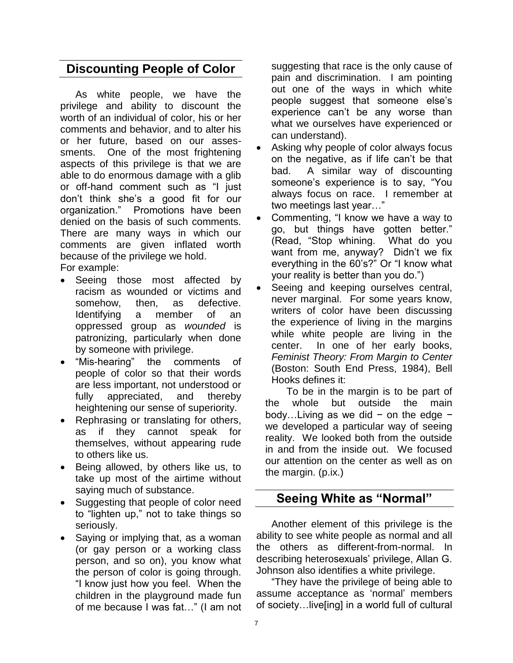### **Discounting People of Color**

As white people, we have the privilege and ability to discount the worth of an individual of color, his or her comments and behavior, and to alter his or her future, based on our assessments. One of the most frightening aspects of this privilege is that we are able to do enormous damage with a glib or off-hand comment such as "I just don't think she's a good fit for our organization." Promotions have been denied on the basis of such comments. There are many ways in which our comments are given inflated worth because of the privilege we hold.

For example:

- Seeing those most affected by racism as wounded or victims and somehow, then, as defective. Identifying a member of an oppressed group as *wounded* is patronizing, particularly when done by someone with privilege.
- "Mis-hearing" the comments of people of color so that their words are less important, not understood or fully appreciated, and thereby heightening our sense of superiority.
- Rephrasing or translating for others, as if they cannot speak for themselves, without appearing rude to others like us.
- Being allowed, by others like us, to take up most of the airtime without saying much of substance.
- Suggesting that people of color need to "lighten up," not to take things so seriously.
- Saying or implying that, as a woman (or gay person or a working class person, and so on), you know what the person of color is going through. "I know just how you feel. When the children in the playground made fun of me because I was fat…" (I am not

suggesting that race is the only cause of pain and discrimination. I am pointing out one of the ways in which white people suggest that someone else's experience can't be any worse than what we ourselves have experienced or can understand).

- Asking why people of color always focus on the negative, as if life can't be that bad. A similar way of discounting someone's experience is to say, "You always focus on race. I remember at two meetings last year…"
- Commenting, "I know we have a way to go, but things have gotten better." (Read, "Stop whining. What do you want from me, anyway? Didn't we fix everything in the 60's?" Or "I know what your reality is better than you do.")
- Seeing and keeping ourselves central, never marginal. For some years know, writers of color have been discussing the experience of living in the margins while white people are living in the center. In one of her early books, *Feminist Theory: From Margin to Center* (Boston: South End Press, 1984), Bell Hooks defines it:

To be in the margin is to be part of the whole but outside the main body…Living as we did − on the edge − we developed a particular way of seeing reality. We looked both from the outside in and from the inside out. We focused our attention on the center as well as on the margin. (p.ix.)

#### **Seeing White as "Normal"**

Another element of this privilege is the ability to see white people as normal and all the others as different-from-normal. In describing heterosexuals' privilege, Allan G. Johnson also identifies a white privilege.

"They have the privilege of being able to assume acceptance as 'normal' members of society…live[ing] in a world full of cultural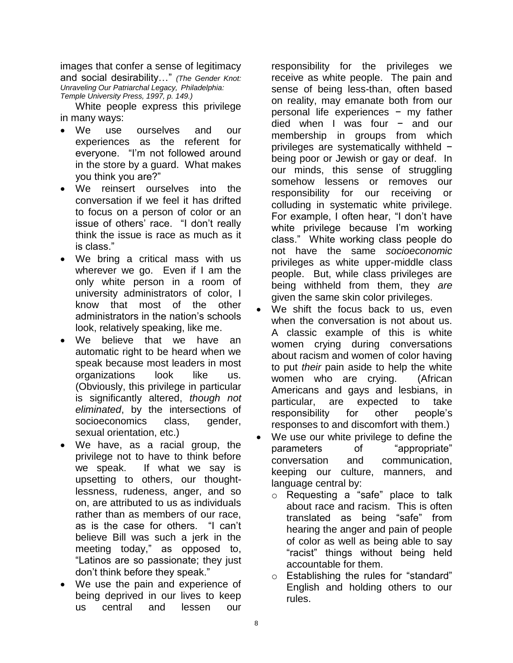images that confer a sense of legitimacy and social desirability…" *(The Gender Knot: Unraveling Our Patriarchal Legacy, Philadelphia: Temple University Press, 1997, p. 149.)*

White people express this privilege in many ways:

- We use ourselves and our experiences as the referent for everyone. "I'm not followed around in the store by a guard. What makes you think you are?"
- We reinsert ourselves into the conversation if we feel it has drifted to focus on a person of color or an issue of others' race. "I don't really think the issue is race as much as it is class."
- We bring a critical mass with us wherever we go. Even if I am the only white person in a room of university administrators of color, I know that most of the other administrators in the nation's schools look, relatively speaking, like me.
- We believe that we have an automatic right to be heard when we speak because most leaders in most organizations look like us. (Obviously, this privilege in particular is significantly altered, *though not eliminated*, by the intersections of socioeconomics class, gender. sexual orientation, etc.)
- We have, as a racial group, the privilege not to have to think before we speak. If what we say is upsetting to others, our thoughtlessness, rudeness, anger, and so on, are attributed to us as individuals rather than as members of our race, as is the case for others. "I can't believe Bill was such a jerk in the meeting today," as opposed to, "Latinos are so passionate; they just don't think before they speak."
- We use the pain and experience of being deprived in our lives to keep us central and lessen our

responsibility for the privileges we receive as white people. The pain and sense of being less-than, often based on reality, may emanate both from our personal life experiences − my father died when I was four − and our membership in groups from which privileges are systematically withheld − being poor or Jewish or gay or deaf. In our minds, this sense of struggling somehow lessens or removes our responsibility for our receiving or colluding in systematic white privilege. For example, I often hear, "I don't have white privilege because I'm working class." White working class people do not have the same *socioeconomic* privileges as white upper-middle class people. But, while class privileges are being withheld from them, they *are* given the same skin color privileges.

- We shift the focus back to us, even when the conversation is not about us. A classic example of this is white women crying during conversations about racism and women of color having to put *their* pain aside to help the white women who are crying. (African Americans and gays and lesbians, in particular, are expected to take responsibility for other people's responses to and discomfort with them.)
- We use our white privilege to define the parameters of "appropriate" conversation and communication, keeping our culture, manners, and language central by:
	- o Requesting a "safe" place to talk about race and racism. This is often translated as being "safe" from hearing the anger and pain of people of color as well as being able to say "racist" things without being held accountable for them.
	- o Establishing the rules for "standard" English and holding others to our rules.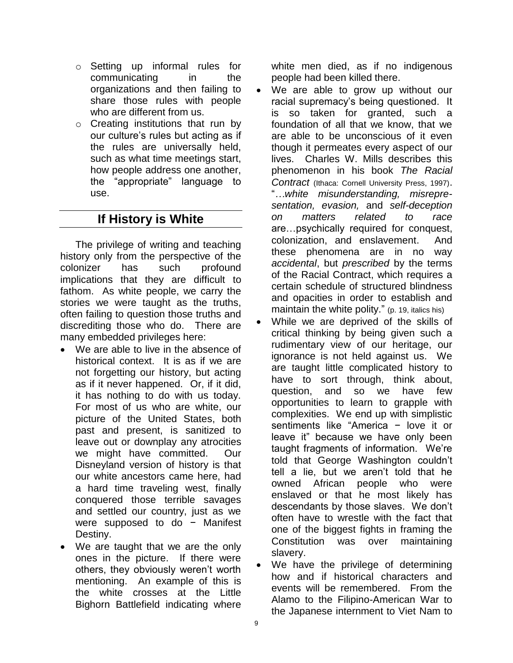- o Setting up informal rules for communicating in the organizations and then failing to share those rules with people who are different from us.
- o Creating institutions that run by our culture's rules but acting as if the rules are universally held, such as what time meetings start, how people address one another, the "appropriate" language to use.

### **If History is White**

The privilege of writing and teaching history only from the perspective of the colonizer has such profound implications that they are difficult to fathom. As white people, we carry the stories we were taught as the truths, often failing to question those truths and discrediting those who do. There are many embedded privileges here:

- We are able to live in the absence of historical context. It is as if we are not forgetting our history, but acting as if it never happened. Or, if it did, it has nothing to do with us today. For most of us who are white, our picture of the United States, both past and present, is sanitized to leave out or downplay any atrocities we might have committed. Our Disneyland version of history is that our white ancestors came here, had a hard time traveling west, finally conquered those terrible savages and settled our country, just as we were supposed to do − Manifest Destiny.
- We are taught that we are the only ones in the picture. If there were others, they obviously weren't worth mentioning. An example of this is the white crosses at the Little Bighorn Battlefield indicating where

white men died, as if no indigenous people had been killed there.

- We are able to grow up without our racial supremacy's being questioned. It is so taken for granted, such a foundation of all that we know, that we are able to be unconscious of it even though it permeates every aspect of our lives. Charles W. Mills describes this phenomenon in his book *The Racial Contract* (Ithaca: Cornell University Press, 1997). "*…white misunderstanding, misrepresentation, evasion,* and *self-deception on matters related to race*  are…psychically required for conquest, colonization, and enslavement. And these phenomena are in no way *accidental*, but *prescribed* by the terms of the Racial Contract, which requires a certain schedule of structured blindness and opacities in order to establish and maintain the white polity." (p. 19, italics his)
- While we are deprived of the skills of critical thinking by being given such a rudimentary view of our heritage, our ignorance is not held against us. We are taught little complicated history to have to sort through, think about, question, and so we have few opportunities to learn to grapple with complexities. We end up with simplistic sentiments like "America − love it or leave it" because we have only been taught fragments of information. We're told that George Washington couldn't tell a lie, but we aren't told that he owned African people who were enslaved or that he most likely has descendants by those slaves. We don't often have to wrestle with the fact that one of the biggest fights in framing the Constitution was over maintaining slavery.
- We have the privilege of determining how and if historical characters and events will be remembered. From the Alamo to the Filipino-American War to the Japanese internment to Viet Nam to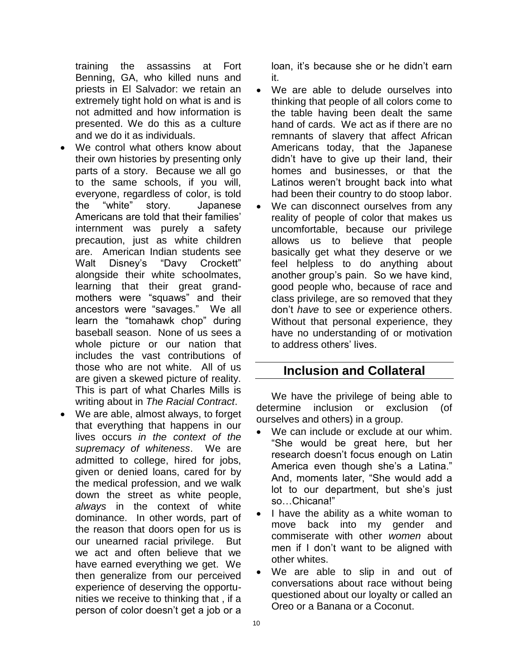training the assassins at Fort Benning, GA, who killed nuns and priests in El Salvador: we retain an extremely tight hold on what is and is not admitted and how information is presented. We do this as a culture and we do it as individuals.

- We control what others know about their own histories by presenting only parts of a story. Because we all go to the same schools, if you will, everyone, regardless of color, is told the "white" story. Japanese Americans are told that their families' internment was purely a safety precaution, just as white children are. American Indian students see Walt Disney's "Davy Crockett" alongside their white schoolmates, learning that their great grandmothers were "squaws" and their ancestors were "savages." We all learn the "tomahawk chop" during baseball season. None of us sees a whole picture or our nation that includes the vast contributions of those who are not white. All of us are given a skewed picture of reality. This is part of what Charles Mills is writing about in *The Racial Contract*.
- We are able, almost always, to forget that everything that happens in our lives occurs *in the context of the supremacy of whiteness*. We are admitted to college, hired for jobs, given or denied loans, cared for by the medical profession, and we walk down the street as white people, *always* in the context of white dominance. In other words, part of the reason that doors open for us is our unearned racial privilege. But we act and often believe that we have earned everything we get. We then generalize from our perceived experience of deserving the opportunities we receive to thinking that , if a person of color doesn't get a job or a

loan, it's because she or he didn't earn it.

- We are able to delude ourselves into thinking that people of all colors come to the table having been dealt the same hand of cards. We act as if there are no remnants of slavery that affect African Americans today, that the Japanese didn't have to give up their land, their homes and businesses, or that the Latinos weren't brought back into what had been their country to do stoop labor.
- We can disconnect ourselves from any reality of people of color that makes us uncomfortable, because our privilege allows us to believe that people basically get what they deserve or we feel helpless to do anything about another group's pain. So we have kind, good people who, because of race and class privilege, are so removed that they don't *have* to see or experience others. Without that personal experience, they have no understanding of or motivation to address others' lives.

#### **Inclusion and Collateral**

We have the privilege of being able to determine inclusion or exclusion (of ourselves and others) in a group.

- We can include or exclude at our whim. "She would be great here, but her research doesn't focus enough on Latin America even though she's a Latina." And, moments later, "She would add a lot to our department, but she's just so…Chicana!"
- I have the ability as a white woman to move back into my gender and commiserate with other *women* about men if I don't want to be aligned with other whites.
- We are able to slip in and out of conversations about race without being questioned about our loyalty or called an Oreo or a Banana or a Coconut.